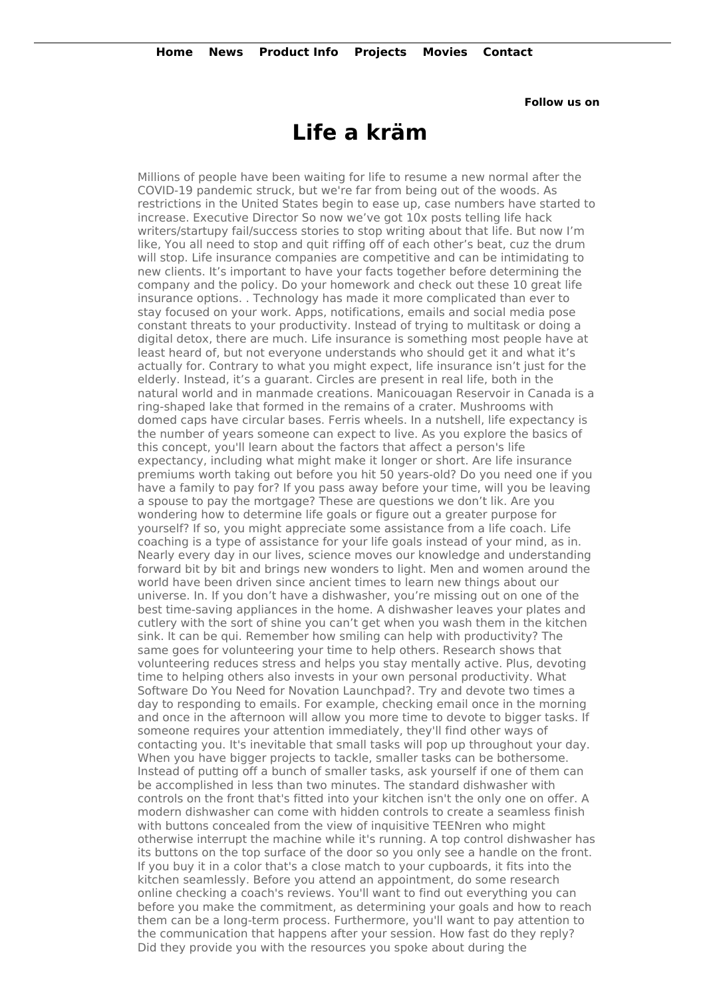**Follow us on**

## **Life a kräm**

Millions of people have been waiting for life to resume a new normal after the COVID-19 pandemic struck, but we're far from being out of the woods. As restrictions in the United States begin to ease up, case numbers have started to increase. Executive Director So now we've got 10x posts telling life hack writers/startupy fail/success stories to stop writing about that life. But now I'm like, You all need to stop and quit riffing off of each other's beat, cuz the drum will stop. Life insurance companies are competitive and can be intimidating to new clients. It's important to have your facts together before determining the company and the policy. Do your homework and check out these 10 great life insurance options. . Technology has made it more complicated than ever to stay focused on your work. Apps, notifications, emails and social media pose constant threats to your productivity. Instead of trying to multitask or doing a digital detox, there are much. Life insurance is something most people have at least heard of, but not everyone understands who should get it and what it's actually for. Contrary to what you might expect, life insurance isn't just for the elderly. Instead, it's a guarant. Circles are present in real life, both in the natural world and in manmade creations. Manicouagan Reservoir in Canada is a ring-shaped lake that formed in the remains of a crater. Mushrooms with domed caps have circular bases. Ferris wheels. In a nutshell, life expectancy is the number of years someone can expect to live. As you explore the basics of this concept, you'll learn about the factors that affect a person's life expectancy, including what might make it longer or short. Are life insurance premiums worth taking out before you hit 50 years-old? Do you need one if you have a family to pay for? If you pass away before your time, will you be leaving a spouse to pay the mortgage? These are questions we don't lik. Are you wondering how to determine life goals or figure out a greater purpose for yourself? If so, you might appreciate some assistance from a life coach. Life coaching is a type of assistance for your life goals instead of your mind, as in. Nearly every day in our lives, science moves our knowledge and understanding forward bit by bit and brings new wonders to light. Men and women around the world have been driven since ancient times to learn new things about our universe. In. If you don't have a dishwasher, you're missing out on one of the best time-saving appliances in the home. A dishwasher leaves your plates and cutlery with the sort of shine you can't get when you wash them in the kitchen sink. It can be qui. Remember how smiling can help with productivity? The same goes for volunteering your time to help others. Research shows that volunteering reduces stress and helps you stay mentally active. Plus, devoting time to helping others also invests in your own personal productivity. What Software Do You Need for Novation Launchpad?. Try and devote two times a day to responding to emails. For example, checking email once in the morning and once in the afternoon will allow you more time to devote to bigger tasks. If someone requires your attention immediately, they'll find other ways of contacting you. It's inevitable that small tasks will pop up throughout your day. When you have bigger projects to tackle, smaller tasks can be bothersome. Instead of putting off a bunch of smaller tasks, ask yourself if one of them can be accomplished in less than two minutes. The standard dishwasher with controls on the front that's fitted into your kitchen isn't the only one on offer. A modern dishwasher can come with hidden controls to create a seamless finish with buttons concealed from the view of inquisitive TEENren who might otherwise interrupt the machine while it's running. A top control dishwasher has its buttons on the top surface of the door so you only see a handle on the front. If you buy it in a color that's a close match to your cupboards, it fits into the kitchen seamlessly. Before you attend an appointment, do some research online checking a coach's reviews. You'll want to find out everything you can before you make the commitment, as determining your goals and how to reach them can be a long-term process. Furthermore, you'll want to pay attention to the communication that happens after your session. How fast do they reply? Did they provide you with the resources you spoke about during the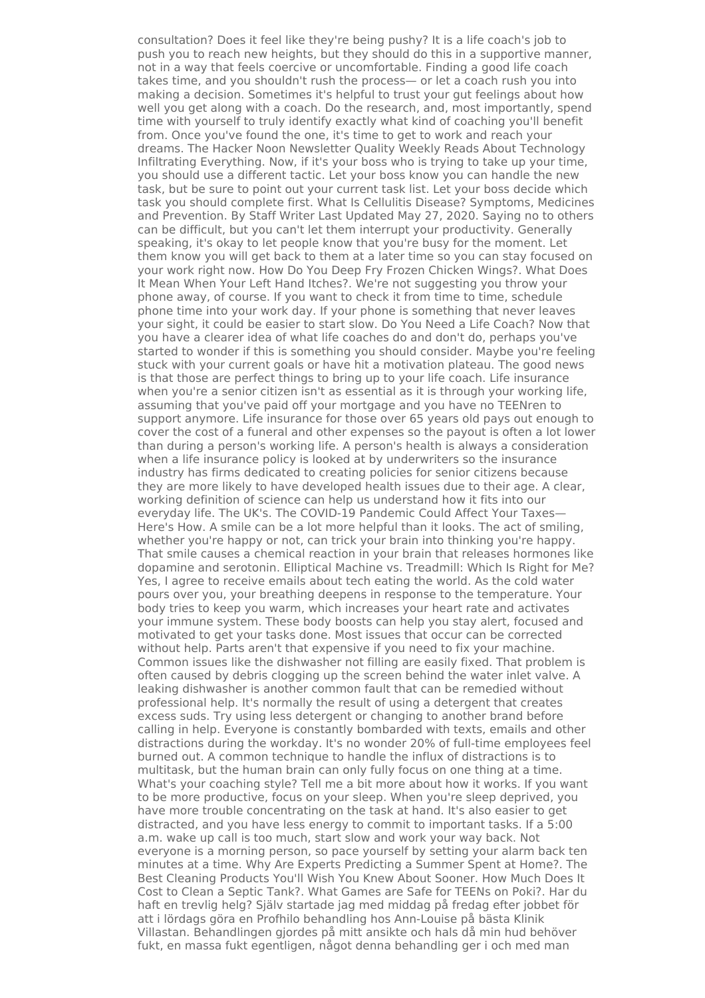consultation? Does it feel like they're being pushy? It is a life coach's job to push you to reach new heights, but they should do this in a supportive manner, not in a way that feels coercive or uncomfortable. Finding a good life coach takes time, and you shouldn't rush the process— or let a coach rush you into making a decision. Sometimes it's helpful to trust your gut feelings about how well you get along with a coach. Do the research, and, most importantly, spend time with yourself to truly identify exactly what kind of coaching you'll benefit from. Once you've found the one, it's time to get to work and reach your dreams. The Hacker Noon Newsletter Quality Weekly Reads About Technology Infiltrating Everything. Now, if it's your boss who is trying to take up your time, you should use a different tactic. Let your boss know you can handle the new task, but be sure to point out your current task list. Let your boss decide which task you should complete first. What Is Cellulitis Disease? Symptoms, Medicines and Prevention. By Staff Writer Last Updated May 27, 2020. Saying no to others can be difficult, but you can't let them interrupt your productivity. Generally speaking, it's okay to let people know that you're busy for the moment. Let them know you will get back to them at a later time so you can stay focused on your work right now. How Do You Deep Fry Frozen Chicken Wings?. What Does It Mean When Your Left Hand Itches?. We're not suggesting you throw your phone away, of course. If you want to check it from time to time, schedule phone time into your work day. If your phone is something that never leaves your sight, it could be easier to start slow. Do You Need a Life Coach? Now that you have a clearer idea of what life coaches do and don't do, perhaps you've started to wonder if this is something you should consider. Maybe you're feeling stuck with your current goals or have hit a motivation plateau. The good news is that those are perfect things to bring up to your life coach. Life insurance when you're a senior citizen isn't as essential as it is through your working life, assuming that you've paid off your mortgage and you have no TEENren to support anymore. Life insurance for those over 65 years old pays out enough to cover the cost of a funeral and other expenses so the payout is often a lot lower than during a person's working life. A person's health is always a consideration when a life insurance policy is looked at by underwriters so the insurance industry has firms dedicated to creating policies for senior citizens because they are more likely to have developed health issues due to their age. A clear, working definition of science can help us understand how it fits into our everyday life. The UK's. The COVID-19 Pandemic Could Affect Your Taxes— Here's How. A smile can be a lot more helpful than it looks. The act of smiling, whether you're happy or not, can trick your brain into thinking you're happy. That smile causes a chemical reaction in your brain that releases hormones like dopamine and serotonin. Elliptical Machine vs. Treadmill: Which Is Right for Me? Yes, I agree to receive emails about tech eating the world. As the cold water pours over you, your breathing deepens in response to the temperature. Your body tries to keep you warm, which increases your heart rate and activates your immune system. These body boosts can help you stay alert, focused and motivated to get your tasks done. Most issues that occur can be corrected without help. Parts aren't that expensive if you need to fix your machine. Common issues like the dishwasher not filling are easily fixed. That problem is often caused by debris clogging up the screen behind the water inlet valve. A leaking dishwasher is another common fault that can be remedied without professional help. It's normally the result of using a detergent that creates excess suds. Try using less detergent or changing to another brand before calling in help. Everyone is constantly bombarded with texts, emails and other distractions during the workday. It's no wonder 20% of full-time employees feel burned out. A common technique to handle the influx of distractions is to multitask, but the human brain can only fully focus on one thing at a time. What's your coaching style? Tell me a bit more about how it works. If you want to be more productive, focus on your sleep. When you're sleep deprived, you have more trouble concentrating on the task at hand. It's also easier to get distracted, and you have less energy to commit to important tasks. If a 5:00 a.m. wake up call is too much, start slow and work your way back. Not everyone is a morning person, so pace yourself by setting your alarm back ten minutes at a time. Why Are Experts Predicting a Summer Spent at Home?. The Best Cleaning Products You'll Wish You Knew About Sooner. How Much Does It Cost to Clean a Septic Tank?. What Games are Safe for TEENs on Poki?. Har du haft en trevlig helg? Själv startade jag med middag på fredag efter jobbet för att i lördags göra en Profhilo behandling hos Ann-Louise på bästa Klinik Villastan. Behandlingen gjordes på mitt ansikte och hals då min hud behöver fukt, en massa fukt egentligen, något denna behandling ger i och med man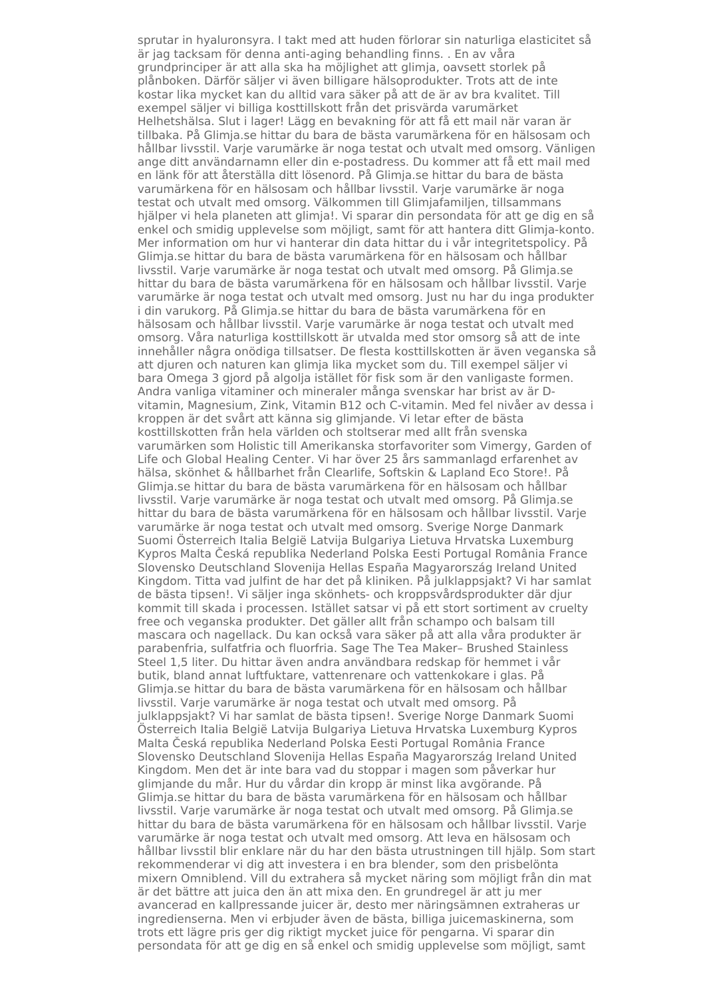sprutar in hyaluronsyra. I takt med att huden förlorar sin naturliga elasticitet så är jag tacksam för denna anti-aging behandling finns. . En av våra grundprinciper är att alla ska ha möjlighet att glimja, oavsett storlek på plånboken. Därför säljer vi även billigare hälsoprodukter. Trots att de inte kostar lika mycket kan du alltid vara säker på att de är av bra kvalitet. Till exempel säljer vi billiga kosttillskott från det prisvärda varumärket Helhetshälsa. Slut i lager! Lägg en bevakning för att få ett mail när varan är tillbaka. På Glimja.se hittar du bara de bästa varumärkena för en hälsosam och hållbar livsstil. Varje varumärke är noga testat och utvalt med omsorg. Vänligen ange ditt användarnamn eller din e-postadress. Du kommer att få ett mail med en länk för att återställa ditt lösenord. På Glimja.se hittar du bara de bästa varumärkena för en hälsosam och hållbar livsstil. Varje varumärke är noga testat och utvalt med omsorg. Välkommen till Glimjafamiljen, tillsammans hjälper vi hela planeten att glimja!. Vi sparar din persondata för att ge dig en så enkel och smidig upplevelse som möjligt, samt för att hantera ditt Glimja-konto. Mer information om hur vi hanterar din data hittar du i vår integritetspolicy. På Glimja.se hittar du bara de bästa varumärkena för en hälsosam och hållbar livsstil. Varje varumärke är noga testat och utvalt med omsorg. På Glimja.se hittar du bara de bästa varumärkena för en hälsosam och hållbar livsstil. Varje varumärke är noga testat och utvalt med omsorg. Just nu har du inga produkter i din varukorg. På Glimja.se hittar du bara de bästa varumärkena för en hälsosam och hållbar livsstil. Varje varumärke är noga testat och utvalt med omsorg. Våra naturliga kosttillskott är utvalda med stor omsorg så att de inte innehåller några onödiga tillsatser. De flesta kosttillskotten är även veganska så att djuren och naturen kan glimja lika mycket som du. Till exempel säljer vi bara Omega 3 gjord på algolja istället för fisk som är den vanligaste formen. Andra vanliga vitaminer och mineraler många svenskar har brist av är Dvitamin, Magnesium, Zink, Vitamin B12 och C-vitamin. Med fel nivåer av dessa i kroppen är det svårt att känna sig glimjande. Vi letar efter de bästa kosttillskotten från hela världen och stoltserar med allt från svenska varumärken som Holistic till Amerikanska storfavoriter som Vimergy, Garden of Life och Global Healing Center. Vi har över 25 års sammanlagd erfarenhet av hälsa, skönhet & hållbarhet från Clearlife, Softskin & Lapland Eco Store!. På Glimja.se hittar du bara de bästa varumärkena för en hälsosam och hållbar livsstil. Varje varumärke är noga testat och utvalt med omsorg. På Glimja.se hittar du bara de bästa varumärkena för en hälsosam och hållbar livsstil. Varje varumärke är noga testat och utvalt med omsorg. Sverige Norge Danmark Suomi Österreich Italia België Latvija Bulgariya Lietuva Hrvatska Luxemburg Kypros Malta Česká republika Nederland Polska Eesti Portugal România France Slovensko Deutschland Slovenija Hellas España Magyarország Ireland United Kingdom. Titta vad julfint de har det på kliniken. På julklappsjakt? Vi har samlat de bästa tipsen!. Vi säljer inga skönhets- och kroppsvårdsprodukter där djur kommit till skada i processen. Istället satsar vi på ett stort sortiment av cruelty free och veganska produkter. Det gäller allt från schampo och balsam till mascara och nagellack. Du kan också vara säker på att alla våra produkter är parabenfria, sulfatfria och fluorfria. Sage The Tea Maker– Brushed Stainless Steel 1,5 liter. Du hittar även andra användbara redskap för hemmet i vår butik, bland annat luftfuktare, vattenrenare och vattenkokare i glas. På Glimja.se hittar du bara de bästa varumärkena för en hälsosam och hållbar livsstil. Varje varumärke är noga testat och utvalt med omsorg. På julklappsjakt? Vi har samlat de bästa tipsen!. Sverige Norge Danmark Suomi Österreich Italia België Latvija Bulgariya Lietuva Hrvatska Luxemburg Kypros Malta Česká republika Nederland Polska Eesti Portugal România France Slovensko Deutschland Slovenija Hellas España Magyarország Ireland United Kingdom. Men det är inte bara vad du stoppar i magen som påverkar hur glimjande du mår. Hur du vårdar din kropp är minst lika avgörande. På Glimja.se hittar du bara de bästa varumärkena för en hälsosam och hållbar livsstil. Varje varumärke är noga testat och utvalt med omsorg. På Glimja.se hittar du bara de bästa varumärkena för en hälsosam och hållbar livsstil. Varje varumärke är noga testat och utvalt med omsorg. Att leva en hälsosam och hållbar livsstil blir enklare när du har den bästa utrustningen till hjälp. Som start rekommenderar vi dig att investera i en bra blender, som den prisbelönta mixern Omniblend. Vill du extrahera så mycket näring som möjligt från din mat är det bättre att juica den än att mixa den. En grundregel är att ju mer avancerad en kallpressande juicer är, desto mer näringsämnen extraheras ur ingredienserna. Men vi erbjuder även de bästa, billiga juicemaskinerna, som trots ett lägre pris ger dig riktigt mycket juice för pengarna. Vi sparar din persondata för att ge dig en så enkel och smidig upplevelse som möjligt, samt